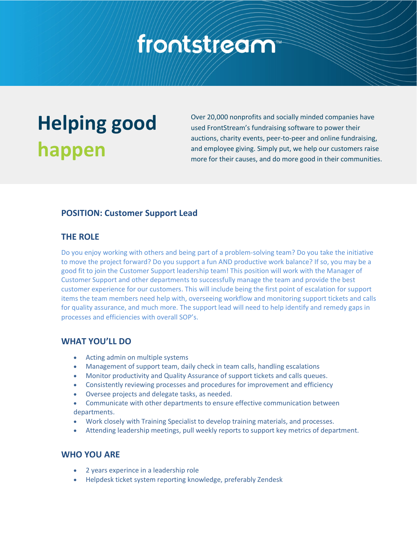# frontstream

## **Helping good happen**

Over 20,000 nonprofits and socially minded companies have used FrontStream's fundraising software to power their auctions, charity events, peer-to-peer and online fundraising, and employee giving. Simply put, we help our customers raise more for their causes, and do more good in their communities.

#### **POSITION: Customer Support Lead**

#### **THE ROLE**

Do you enjoy working with others and being part of a problem-solving team? Do you take the initiative to move the project forward? Do you support a fun AND productive work balance? If so, you may be a good fit to join the Customer Support leadership team! This position will work with the Manager of Customer Support and other departments to successfully manage the team and provide the best customer experience for our customers. This will include being the first point of escalation for support items the team members need help with, overseeing workflow and monitoring support tickets and calls for quality assurance, and much more. The support lead will need to help identify and remedy gaps in processes and efficiencies with overall SOP's.

#### **WHAT YOU'LL DO**

- Acting admin on multiple systems
- Management of support team, daily check in team calls, handling escalations
- Monitor productivity and Quality Assurance of support tickets and calls queues.
- Consistently reviewing processes and procedures for improvement and efficiency
- Oversee projects and delegate tasks, as needed.
- Communicate with other departments to ensure effective communication between departments.
- Work closely with Training Specialist to develop training materials, and processes.
- Attending leadership meetings, pull weekly reports to support key metrics of department.

#### **WHO YOU ARE**

- 2 years experince in a leadership role
- Helpdesk ticket system reporting knowledge, preferably Zendesk